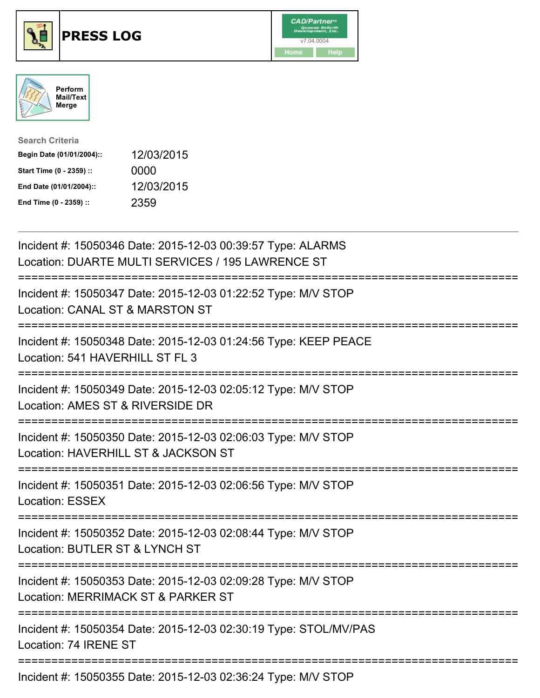





| <b>Search Criteria</b>    |            |
|---------------------------|------------|
| Begin Date (01/01/2004):: | 12/03/2015 |
| Start Time (0 - 2359) ::  | 0000       |
| End Date (01/01/2004)::   | 12/03/2015 |
| End Time (0 - 2359) ::    | 2359       |

| Incident #: 15050346 Date: 2015-12-03 00:39:57 Type: ALARMS<br>Location: DUARTE MULTI SERVICES / 195 LAWRENCE ST                                              |
|---------------------------------------------------------------------------------------------------------------------------------------------------------------|
| Incident #: 15050347 Date: 2015-12-03 01:22:52 Type: M/V STOP<br>Location: CANAL ST & MARSTON ST                                                              |
| Incident #: 15050348 Date: 2015-12-03 01:24:56 Type: KEEP PEACE<br>Location: 541 HAVERHILL ST FL 3                                                            |
| Incident #: 15050349 Date: 2015-12-03 02:05:12 Type: M/V STOP<br>Location: AMES ST & RIVERSIDE DR                                                             |
| Incident #: 15050350 Date: 2015-12-03 02:06:03 Type: M/V STOP<br>Location: HAVERHILL ST & JACKSON ST<br>:========================                             |
| Incident #: 15050351 Date: 2015-12-03 02:06:56 Type: M/V STOP<br><b>Location: ESSEX</b>                                                                       |
| =============================<br>Incident #: 15050352 Date: 2015-12-03 02:08:44 Type: M/V STOP<br>Location: BUTLER ST & LYNCH ST<br>======================    |
| :=========================<br>Incident #: 15050353 Date: 2015-12-03 02:09:28 Type: M/V STOP<br>Location: MERRIMACK ST & PARKER ST<br>.----------------------- |
| Incident #: 15050354 Date: 2015-12-03 02:30:19 Type: STOL/MV/PAS<br>Location: 74 IRENE ST                                                                     |
| Incident #: 15050355 Date: 2015-12-03 02:36:24 Type: M/V STOP                                                                                                 |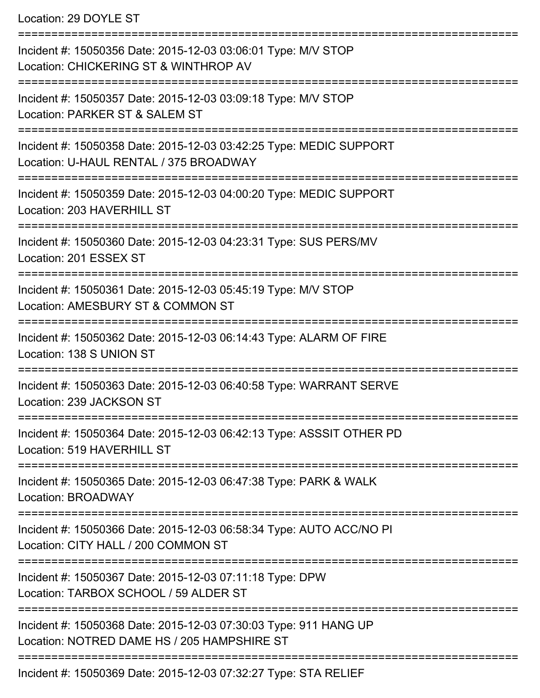Location: 29 DOYLE ST

=========================================================================== Incident #: 15050356 Date: 2015-12-03 03:06:01 Type: M/V STOP Location: CHICKERING ST & WINTHROP AV =========================================================================== Incident #: 15050357 Date: 2015-12-03 03:09:18 Type: M/V STOP Location: PARKER ST & SALEM ST =========================================================================== Incident #: 15050358 Date: 2015-12-03 03:42:25 Type: MEDIC SUPPORT Location: U-HAUL RENTAL / 375 BROADWAY =========================================================================== Incident #: 15050359 Date: 2015-12-03 04:00:20 Type: MEDIC SUPPORT Location: 203 HAVERHILL ST =========================================================================== Incident #: 15050360 Date: 2015-12-03 04:23:31 Type: SUS PERS/MV Location: 201 ESSEX ST =========================================================================== Incident #: 15050361 Date: 2015-12-03 05:45:19 Type: M/V STOP Location: AMESBURY ST & COMMON ST =========================================================================== Incident #: 15050362 Date: 2015-12-03 06:14:43 Type: ALARM OF FIRE Location: 138 S UNION ST =========================================================================== Incident #: 15050363 Date: 2015-12-03 06:40:58 Type: WARRANT SERVE Location: 239 JACKSON ST =========================================================================== Incident #: 15050364 Date: 2015-12-03 06:42:13 Type: ASSSIT OTHER PD Location: 519 HAVERHILL ST =========================================================================== Incident #: 15050365 Date: 2015-12-03 06:47:38 Type: PARK & WALK Location: BROADWAY =========================================================================== Incident #: 15050366 Date: 2015-12-03 06:58:34 Type: AUTO ACC/NO PI Location: CITY HALL / 200 COMMON ST =========================================================================== Incident #: 15050367 Date: 2015-12-03 07:11:18 Type: DPW Location: TARBOX SCHOOL / 59 ALDER ST =========================================================================== Incident #: 15050368 Date: 2015-12-03 07:30:03 Type: 911 HANG UP Location: NOTRED DAME HS / 205 HAMPSHIRE ST =========================================================================== Incident #: 15050369 Date: 2015-12-03 07:32:27 Type: STA RELIEF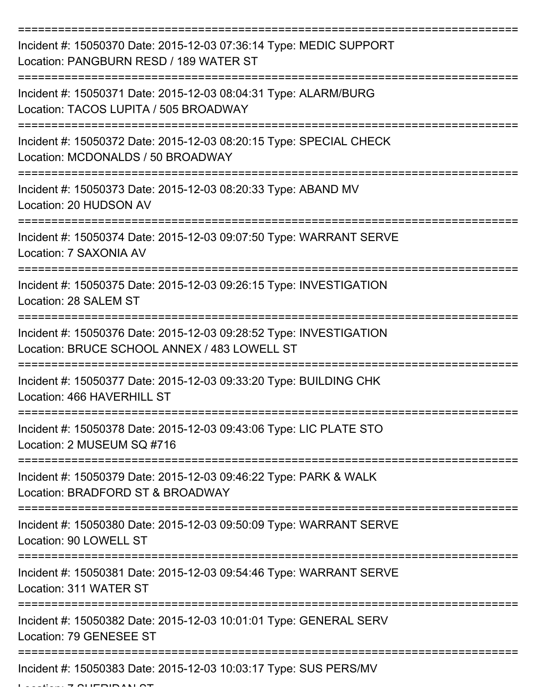| Incident #: 15050370 Date: 2015-12-03 07:36:14 Type: MEDIC SUPPORT<br>Location: PANGBURN RESD / 189 WATER ST       |
|--------------------------------------------------------------------------------------------------------------------|
| Incident #: 15050371 Date: 2015-12-03 08:04:31 Type: ALARM/BURG<br>Location: TACOS LUPITA / 505 BROADWAY           |
| Incident #: 15050372 Date: 2015-12-03 08:20:15 Type: SPECIAL CHECK<br>Location: MCDONALDS / 50 BROADWAY            |
| Incident #: 15050373 Date: 2015-12-03 08:20:33 Type: ABAND MV<br>Location: 20 HUDSON AV                            |
| Incident #: 15050374 Date: 2015-12-03 09:07:50 Type: WARRANT SERVE<br>Location: 7 SAXONIA AV                       |
| Incident #: 15050375 Date: 2015-12-03 09:26:15 Type: INVESTIGATION<br>Location: 28 SALEM ST                        |
| Incident #: 15050376 Date: 2015-12-03 09:28:52 Type: INVESTIGATION<br>Location: BRUCE SCHOOL ANNEX / 483 LOWELL ST |
| Incident #: 15050377 Date: 2015-12-03 09:33:20 Type: BUILDING CHK<br>Location: 466 HAVERHILL ST                    |
| Incident #: 15050378 Date: 2015-12-03 09:43:06 Type: LIC PLATE STO<br>Location: 2 MUSEUM SQ #716                   |
| Incident #: 15050379 Date: 2015-12-03 09:46:22 Type: PARK & WALK<br>Location: BRADFORD ST & BROADWAY               |
| Incident #: 15050380 Date: 2015-12-03 09:50:09 Type: WARRANT SERVE<br>Location: 90 LOWELL ST                       |
| Incident #: 15050381 Date: 2015-12-03 09:54:46 Type: WARRANT SERVE<br>Location: 311 WATER ST                       |
| Incident #: 15050382 Date: 2015-12-03 10:01:01 Type: GENERAL SERV<br>Location: 79 GENESEE ST                       |
| Incident #: 15050383 Date: 2015-12-03 10:03:17 Type: SUS PERS/MV                                                   |

 $L$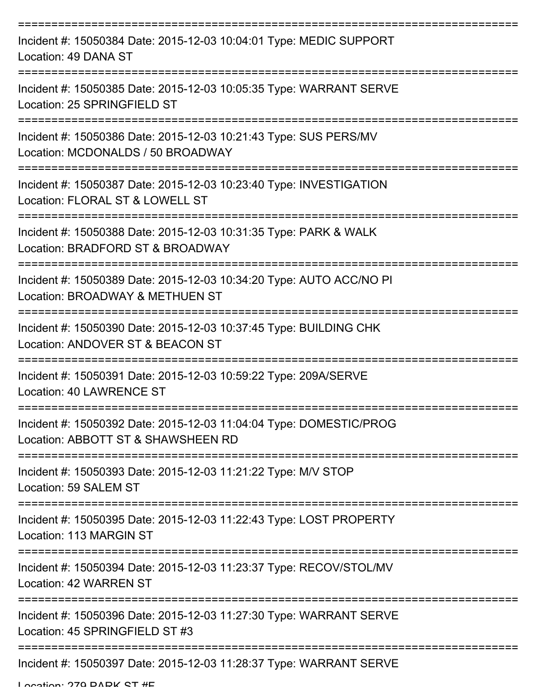| Incident #: 15050384 Date: 2015-12-03 10:04:01 Type: MEDIC SUPPORT<br>Location: 49 DANA ST                                                 |
|--------------------------------------------------------------------------------------------------------------------------------------------|
| Incident #: 15050385 Date: 2015-12-03 10:05:35 Type: WARRANT SERVE<br>Location: 25 SPRINGFIELD ST                                          |
| Incident #: 15050386 Date: 2015-12-03 10:21:43 Type: SUS PERS/MV<br>Location: MCDONALDS / 50 BROADWAY                                      |
| Incident #: 15050387 Date: 2015-12-03 10:23:40 Type: INVESTIGATION<br>Location: FLORAL ST & LOWELL ST                                      |
| Incident #: 15050388 Date: 2015-12-03 10:31:35 Type: PARK & WALK<br>Location: BRADFORD ST & BROADWAY<br>:================================= |
| Incident #: 15050389 Date: 2015-12-03 10:34:20 Type: AUTO ACC/NO PI<br>Location: BROADWAY & METHUEN ST                                     |
| Incident #: 15050390 Date: 2015-12-03 10:37:45 Type: BUILDING CHK<br>Location: ANDOVER ST & BEACON ST                                      |
| Incident #: 15050391 Date: 2015-12-03 10:59:22 Type: 209A/SERVE<br>Location: 40 LAWRENCE ST                                                |
| Incident #: 15050392 Date: 2015-12-03 11:04:04 Type: DOMESTIC/PROG<br>Location: ABBOTT ST & SHAWSHEEN RD                                   |
| Incident #: 15050393 Date: 2015-12-03 11:21:22 Type: M/V STOP<br>Location: 59 SALEM ST                                                     |
| Incident #: 15050395 Date: 2015-12-03 11:22:43 Type: LOST PROPERTY<br>Location: 113 MARGIN ST                                              |
| Incident #: 15050394 Date: 2015-12-03 11:23:37 Type: RECOV/STOL/MV<br>Location: 42 WARREN ST                                               |
| Incident #: 15050396 Date: 2015-12-03 11:27:30 Type: WARRANT SERVE<br>Location: 45 SPRINGFIELD ST #3                                       |
| Incident #: 15050397 Date: 2015-12-03 11:28:37 Type: WARRANT SERVE                                                                         |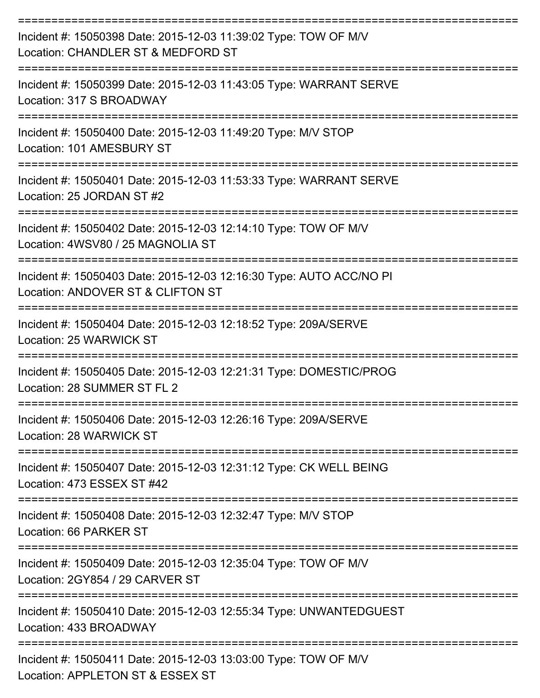| Incident #: 15050398 Date: 2015-12-03 11:39:02 Type: TOW OF M/V<br>Location: CHANDLER ST & MEDFORD ST    |
|----------------------------------------------------------------------------------------------------------|
| Incident #: 15050399 Date: 2015-12-03 11:43:05 Type: WARRANT SERVE<br>Location: 317 S BROADWAY           |
| Incident #: 15050400 Date: 2015-12-03 11:49:20 Type: M/V STOP<br>Location: 101 AMESBURY ST               |
| Incident #: 15050401 Date: 2015-12-03 11:53:33 Type: WARRANT SERVE<br>Location: 25 JORDAN ST #2          |
| Incident #: 15050402 Date: 2015-12-03 12:14:10 Type: TOW OF M/V<br>Location: 4WSV80 / 25 MAGNOLIA ST     |
| Incident #: 15050403 Date: 2015-12-03 12:16:30 Type: AUTO ACC/NO PI<br>Location: ANDOVER ST & CLIFTON ST |
| Incident #: 15050404 Date: 2015-12-03 12:18:52 Type: 209A/SERVE<br>Location: 25 WARWICK ST               |
| Incident #: 15050405 Date: 2015-12-03 12:21:31 Type: DOMESTIC/PROG<br>Location: 28 SUMMER ST FL 2        |
| Incident #: 15050406 Date: 2015-12-03 12:26:16 Type: 209A/SERVE<br>Location: 28 WARWICK ST               |
| Incident #: 15050407 Date: 2015-12-03 12:31:12 Type: CK WELL BEING<br>Location: 473 ESSEX ST #42         |
| Incident #: 15050408 Date: 2015-12-03 12:32:47 Type: M/V STOP<br>Location: 66 PARKER ST                  |
| Incident #: 15050409 Date: 2015-12-03 12:35:04 Type: TOW OF M/V<br>Location: 2GY854 / 29 CARVER ST       |
| Incident #: 15050410 Date: 2015-12-03 12:55:34 Type: UNWANTEDGUEST<br>Location: 433 BROADWAY             |
| Incident #: 15050411 Date: 2015-12-03 13:03:00 Type: TOW OF M/V<br>Location: APPLETON ST & ESSEX ST      |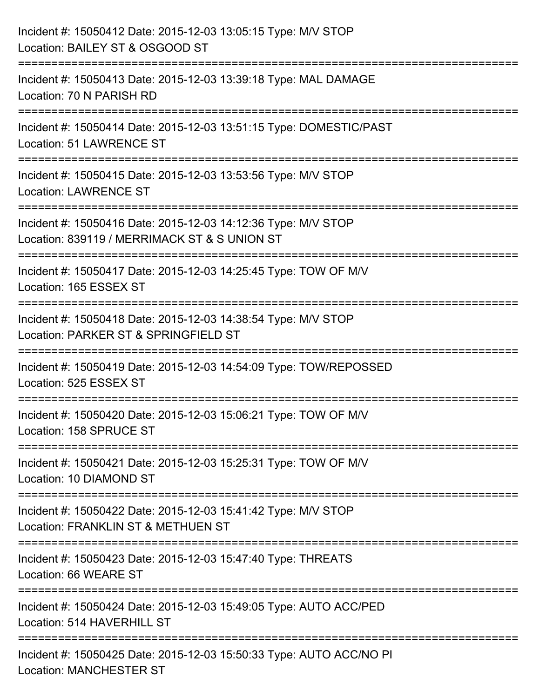| Incident #: 15050412 Date: 2015-12-03 13:05:15 Type: M/V STOP<br>Location: BAILEY ST & OSGOOD ST              |
|---------------------------------------------------------------------------------------------------------------|
| Incident #: 15050413 Date: 2015-12-03 13:39:18 Type: MAL DAMAGE<br>Location: 70 N PARISH RD                   |
| Incident #: 15050414 Date: 2015-12-03 13:51:15 Type: DOMESTIC/PAST<br><b>Location: 51 LAWRENCE ST</b>         |
| Incident #: 15050415 Date: 2015-12-03 13:53:56 Type: M/V STOP<br><b>Location: LAWRENCE ST</b>                 |
| Incident #: 15050416 Date: 2015-12-03 14:12:36 Type: M/V STOP<br>Location: 839119 / MERRIMACK ST & S UNION ST |
| Incident #: 15050417 Date: 2015-12-03 14:25:45 Type: TOW OF M/V<br>Location: 165 ESSEX ST                     |
| Incident #: 15050418 Date: 2015-12-03 14:38:54 Type: M/V STOP<br>Location: PARKER ST & SPRINGFIELD ST         |
| Incident #: 15050419 Date: 2015-12-03 14:54:09 Type: TOW/REPOSSED<br>Location: 525 ESSEX ST                   |
| Incident #: 15050420 Date: 2015-12-03 15:06:21 Type: TOW OF M/V<br>Location: 158 SPRUCE ST                    |
| Incident #: 15050421 Date: 2015-12-03 15:25:31 Type: TOW OF M/V<br>Location: 10 DIAMOND ST                    |
| Incident #: 15050422 Date: 2015-12-03 15:41:42 Type: M/V STOP<br>Location: FRANKLIN ST & METHUEN ST           |
| Incident #: 15050423 Date: 2015-12-03 15:47:40 Type: THREATS<br>Location: 66 WEARE ST                         |
| Incident #: 15050424 Date: 2015-12-03 15:49:05 Type: AUTO ACC/PED<br>Location: 514 HAVERHILL ST               |
| Incident #: 15050425 Date: 2015-12-03 15:50:33 Type: AUTO ACC/NO PI<br><b>Location: MANCHESTER ST</b>         |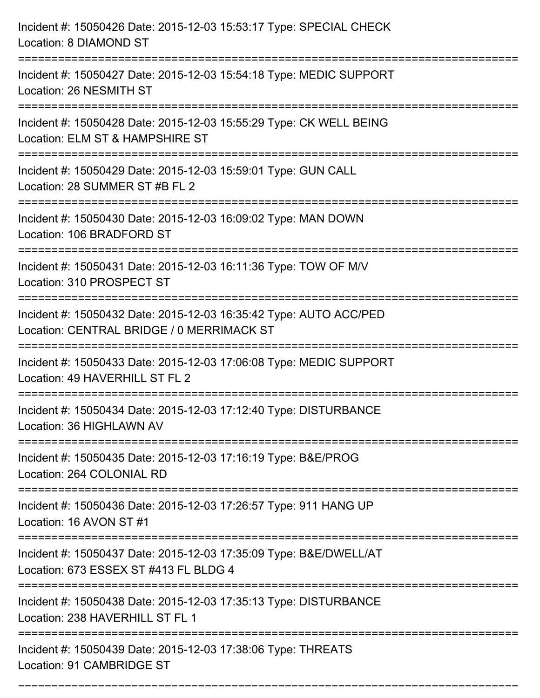| Incident #: 15050426 Date: 2015-12-03 15:53:17 Type: SPECIAL CHECK<br>Location: 8 DIAMOND ST                                              |
|-------------------------------------------------------------------------------------------------------------------------------------------|
| Incident #: 15050427 Date: 2015-12-03 15:54:18 Type: MEDIC SUPPORT<br>Location: 26 NESMITH ST                                             |
| Incident #: 15050428 Date: 2015-12-03 15:55:29 Type: CK WELL BEING<br>Location: ELM ST & HAMPSHIRE ST<br>================================ |
| Incident #: 15050429 Date: 2015-12-03 15:59:01 Type: GUN CALL<br>Location: 28 SUMMER ST #B FL 2                                           |
| Incident #: 15050430 Date: 2015-12-03 16:09:02 Type: MAN DOWN<br>Location: 106 BRADFORD ST<br>=============================               |
| Incident #: 15050431 Date: 2015-12-03 16:11:36 Type: TOW OF M/V<br>Location: 310 PROSPECT ST                                              |
| Incident #: 15050432 Date: 2015-12-03 16:35:42 Type: AUTO ACC/PED<br>Location: CENTRAL BRIDGE / 0 MERRIMACK ST<br>=================       |
| Incident #: 15050433 Date: 2015-12-03 17:06:08 Type: MEDIC SUPPORT<br>Location: 49 HAVERHILL ST FL 2                                      |
| Incident #: 15050434 Date: 2015-12-03 17:12:40 Type: DISTURBANCE<br>Location: 36 HIGHLAWN AV<br>----------------<br>---------------       |
| Incident #: 15050435 Date: 2015-12-03 17:16:19 Type: B&E/PROG<br>Location: 264 COLONIAL RD<br>===============================             |
| Incident #: 15050436 Date: 2015-12-03 17:26:57 Type: 911 HANG UP<br>Location: 16 AVON ST #1                                               |
| Incident #: 15050437 Date: 2015-12-03 17:35:09 Type: B&E/DWELL/AT<br>Location: 673 ESSEX ST #413 FL BLDG 4                                |
| Incident #: 15050438 Date: 2015-12-03 17:35:13 Type: DISTURBANCE<br>Location: 238 HAVERHILL ST FL 1                                       |
| Incident #: 15050439 Date: 2015-12-03 17:38:06 Type: THREATS<br>Location: 91 CAMBRIDGE ST                                                 |

===========================================================================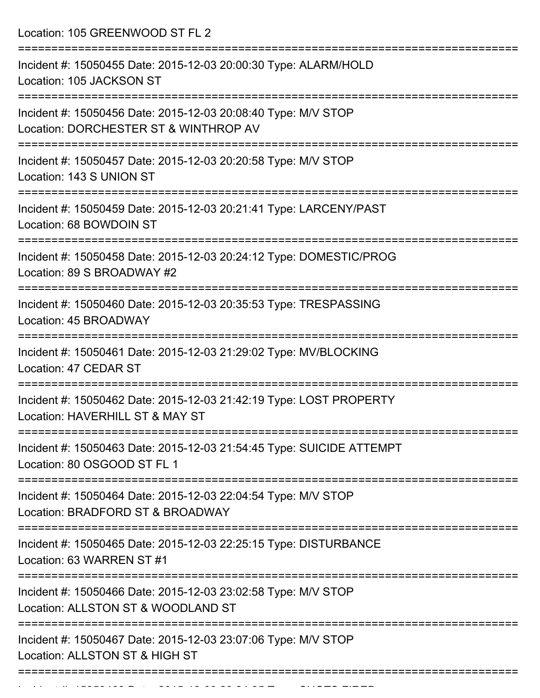Location: 105 GREENWOOD ST FL 2

| Incident #: 15050455 Date: 2015-12-03 20:00:30 Type: ALARM/HOLD<br>Location: 105 JACKSON ST            |
|--------------------------------------------------------------------------------------------------------|
| Incident #: 15050456 Date: 2015-12-03 20:08:40 Type: M/V STOP<br>Location: DORCHESTER ST & WINTHROP AV |
| Incident #: 15050457 Date: 2015-12-03 20:20:58 Type: M/V STOP<br>Location: 143 S UNION ST              |
| Incident #: 15050459 Date: 2015-12-03 20:21:41 Type: LARCENY/PAST<br>Location: 68 BOWDOIN ST           |
| Incident #: 15050458 Date: 2015-12-03 20:24:12 Type: DOMESTIC/PROG<br>Location: 89 S BROADWAY #2       |
| Incident #: 15050460 Date: 2015-12-03 20:35:53 Type: TRESPASSING<br>Location: 45 BROADWAY              |
| Incident #: 15050461 Date: 2015-12-03 21:29:02 Type: MV/BLOCKING<br>Location: 47 CEDAR ST              |
| Incident #: 15050462 Date: 2015-12-03 21:42:19 Type: LOST PROPERTY<br>Location: HAVERHILL ST & MAY ST  |
| Incident #: 15050463 Date: 2015-12-03 21:54:45 Type: SUICIDE ATTEMPT<br>Location: 80 OSGOOD ST FL 1    |
| Incident #: 15050464 Date: 2015-12-03 22:04:54 Type: M/V STOP<br>Location: BRADFORD ST & BROADWAY      |
| Incident #: 15050465 Date: 2015-12-03 22:25:15 Type: DISTURBANCE<br>Location: 63 WARREN ST #1          |
| Incident #: 15050466 Date: 2015-12-03 23:02:58 Type: M/V STOP<br>Location: ALLSTON ST & WOODLAND ST    |
| Incident #: 15050467 Date: 2015-12-03 23:07:06 Type: M/V STOP<br>Location: ALLSTON ST & HIGH ST        |
|                                                                                                        |